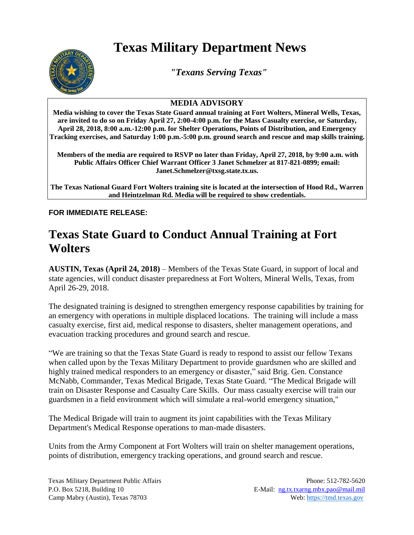## **Texas Military Department News**



*"Texans Serving Texas"*

## **MEDIA ADVISORY**

**Media wishing to cover the Texas State Guard annual training at Fort Wolters, Mineral Wells, Texas, are invited to do so on Friday April 27, 2:00-4:00 p.m. for the Mass Casualty exercise, or Saturday, April 28, 2018, 8:00 a.m.-12:00 p.m. for Shelter Operations, Points of Distribution, and Emergency Tracking exercises, and Saturday 1:00 p.m.-5:00 p.m. ground search and rescue and map skills training.** 

**Members of the media are required to RSVP no later than Friday, April 27, 2018, by 9:00 a.m. with Public Affairs Officer Chief Warrant Officer 3 Janet Schmelzer at 817-821-0899; email: Janet.Schmelzer@txsg.state.tx.us.**

**The Texas National Guard Fort Wolters training site is located at the intersection of Hood Rd., Warren and Heintzelman Rd. Media will be required to show credentials.**

**FOR IMMEDIATE RELEASE:** 

## **Texas State Guard to Conduct Annual Training at Fort Wolters**

**AUSTIN, Texas (April 24, 2018)** – Members of the Texas State Guard, in support of local and state agencies, will conduct disaster preparedness at Fort Wolters, Mineral Wells, Texas, from April 26-29, 2018.

The designated training is designed to strengthen emergency response capabilities by training for an emergency with operations in multiple displaced locations. The training will include a mass casualty exercise, first aid, medical response to disasters, shelter management operations, and evacuation tracking procedures and ground search and rescue.

"We are training so that the Texas State Guard is ready to respond to assist our fellow Texans when called upon by the Texas Military Department to provide guardsmen who are skilled and highly trained medical responders to an emergency or disaster," said Brig. Gen. Constance McNabb, Commander, Texas Medical Brigade, Texas State Guard. "The Medical Brigade will train on Disaster Response and Casualty Care Skills. Our mass casualty exercise will train our guardsmen in a field environment which will simulate a real-world emergency situation,"

The Medical Brigade will train to augment its joint capabilities with the Texas Military Department's Medical Response operations to man-made disasters.

Units from the Army Component at Fort Wolters will train on shelter management operations, points of distribution, emergency tracking operations, and ground search and rescue.